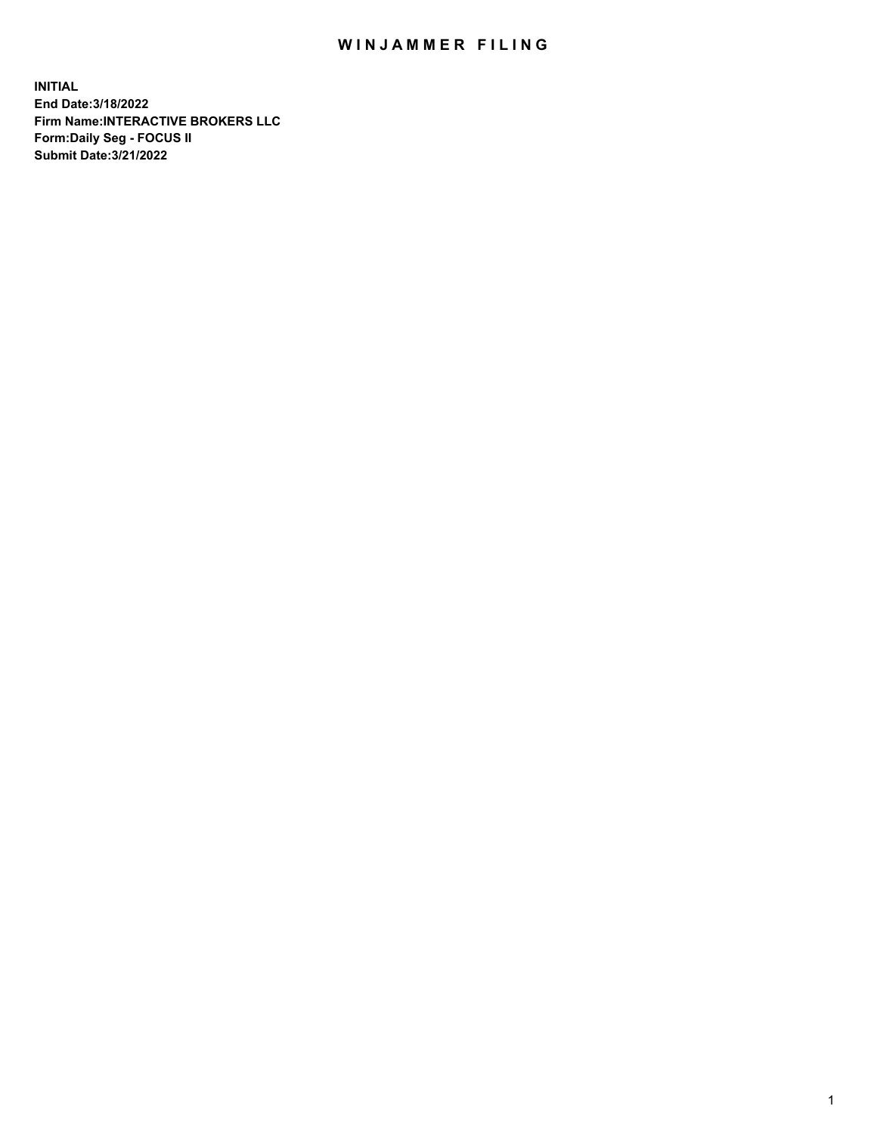## WIN JAMMER FILING

**INITIAL End Date:3/18/2022 Firm Name:INTERACTIVE BROKERS LLC Form:Daily Seg - FOCUS II Submit Date:3/21/2022**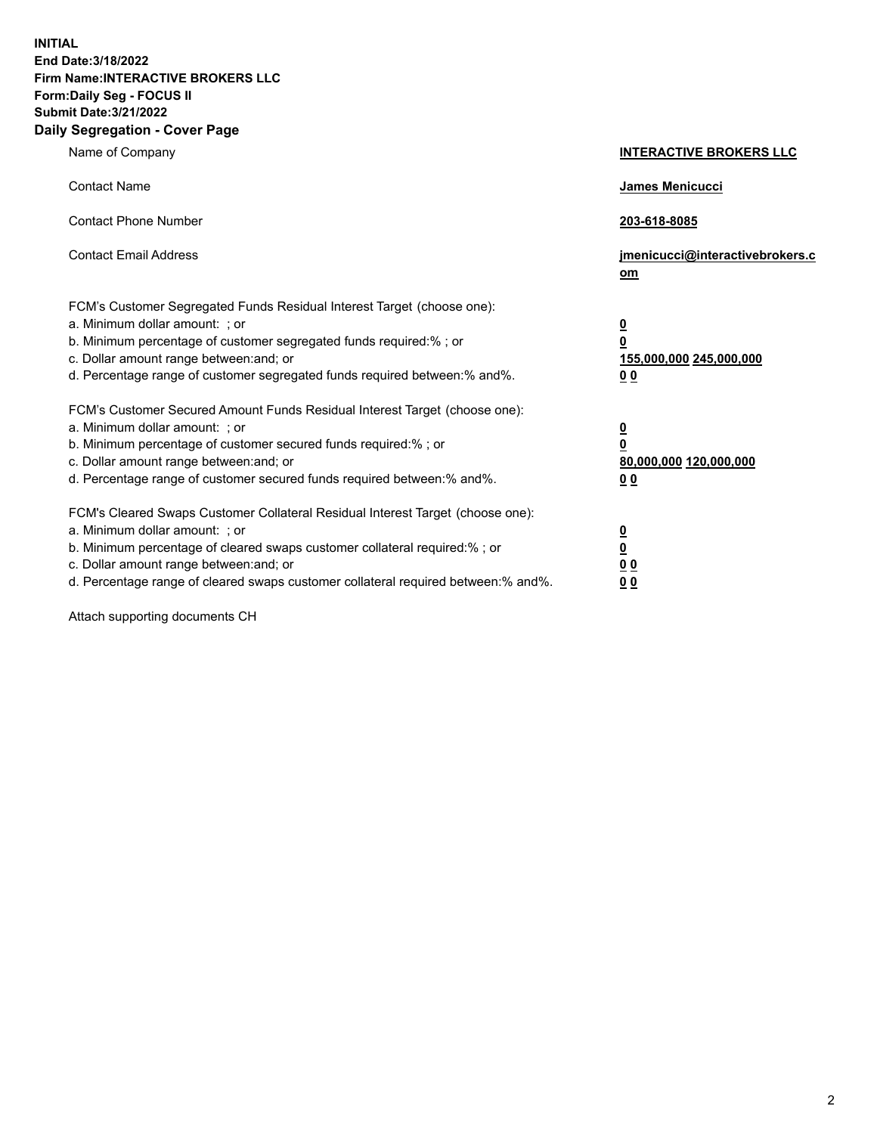**INITIAL End Date:3/18/2022 Firm Name:INTERACTIVE BROKERS LLC Form:Daily Seg - FOCUS II Submit Date:3/21/2022 Daily Segregation - Cover Page**

| Name of Company                                                                                                                                                                                                                                                                                                               | <b>INTERACTIVE BROKERS LLC</b>                                                                  |
|-------------------------------------------------------------------------------------------------------------------------------------------------------------------------------------------------------------------------------------------------------------------------------------------------------------------------------|-------------------------------------------------------------------------------------------------|
| <b>Contact Name</b>                                                                                                                                                                                                                                                                                                           | James Menicucci                                                                                 |
| <b>Contact Phone Number</b>                                                                                                                                                                                                                                                                                                   | 203-618-8085                                                                                    |
| <b>Contact Email Address</b>                                                                                                                                                                                                                                                                                                  | jmenicucci@interactivebrokers.c<br>om                                                           |
| FCM's Customer Segregated Funds Residual Interest Target (choose one):<br>a. Minimum dollar amount: ; or<br>b. Minimum percentage of customer segregated funds required:% ; or<br>c. Dollar amount range between: and; or<br>d. Percentage range of customer segregated funds required between:% and%.                        | $\overline{\mathbf{0}}$<br>$\overline{\mathbf{0}}$<br>155,000,000 245,000,000<br>0 <sub>0</sub> |
| FCM's Customer Secured Amount Funds Residual Interest Target (choose one):<br>a. Minimum dollar amount: ; or<br>b. Minimum percentage of customer secured funds required:% ; or<br>c. Dollar amount range between: and; or<br>d. Percentage range of customer secured funds required between:% and%.                          | <u>0</u><br>$\overline{\mathbf{0}}$<br>80,000,000 120,000,000<br>0 <sub>0</sub>                 |
| FCM's Cleared Swaps Customer Collateral Residual Interest Target (choose one):<br>a. Minimum dollar amount: ; or<br>b. Minimum percentage of cleared swaps customer collateral required:%; or<br>c. Dollar amount range between: and; or<br>d. Percentage range of cleared swaps customer collateral required between:% and%. | $\overline{\mathbf{0}}$<br>$\underline{\mathbf{0}}$<br>$\underline{0}$ $\underline{0}$<br>00    |

Attach supporting documents CH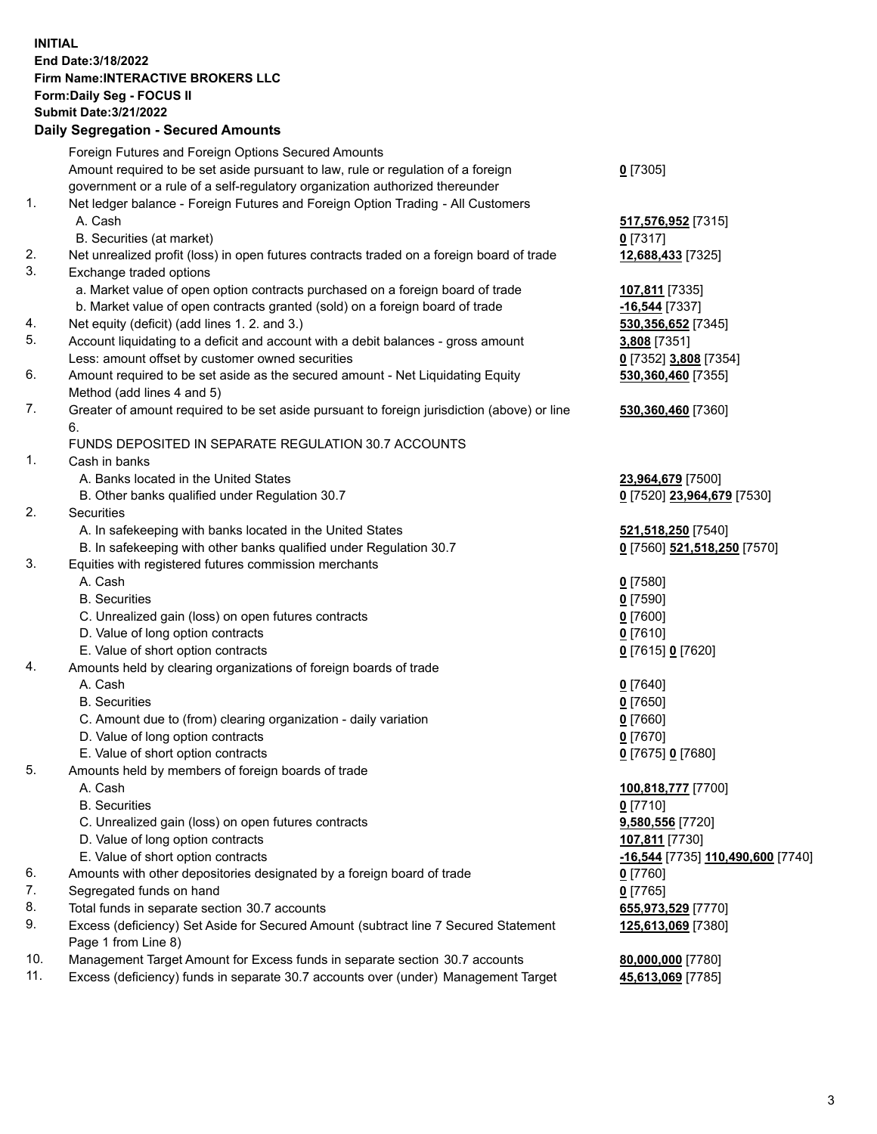**INITIAL End Date:3/18/2022 Firm Name:INTERACTIVE BROKERS LLC Form:Daily Seg - FOCUS II Submit Date:3/21/2022 Daily Segregation - Secured Amounts**

|     | Foreign Futures and Foreign Options Secured Amounts                                         |                                   |
|-----|---------------------------------------------------------------------------------------------|-----------------------------------|
|     | Amount required to be set aside pursuant to law, rule or regulation of a foreign            | $0$ [7305]                        |
|     | government or a rule of a self-regulatory organization authorized thereunder                |                                   |
| 1.  | Net ledger balance - Foreign Futures and Foreign Option Trading - All Customers             |                                   |
|     | A. Cash                                                                                     | 517,576,952 [7315]                |
|     | B. Securities (at market)                                                                   | $0$ [7317]                        |
| 2.  | Net unrealized profit (loss) in open futures contracts traded on a foreign board of trade   | 12,688,433 [7325]                 |
| 3.  | Exchange traded options                                                                     |                                   |
|     | a. Market value of open option contracts purchased on a foreign board of trade              | 107,811 [7335]                    |
|     | b. Market value of open contracts granted (sold) on a foreign board of trade                | -16,544 [7337]                    |
| 4.  | Net equity (deficit) (add lines 1. 2. and 3.)                                               | 530, 356, 652 [7345]              |
| 5.  | Account liquidating to a deficit and account with a debit balances - gross amount           | 3,808 [7351]                      |
|     | Less: amount offset by customer owned securities                                            | 0 [7352] 3,808 [7354]             |
| 6.  | Amount required to be set aside as the secured amount - Net Liquidating Equity              | 530,360,460 [7355]                |
|     | Method (add lines 4 and 5)                                                                  |                                   |
| 7.  | Greater of amount required to be set aside pursuant to foreign jurisdiction (above) or line | 530,360,460 [7360]                |
|     | 6.                                                                                          |                                   |
|     | FUNDS DEPOSITED IN SEPARATE REGULATION 30.7 ACCOUNTS                                        |                                   |
| 1.  | Cash in banks                                                                               |                                   |
|     | A. Banks located in the United States                                                       | 23,964,679 [7500]                 |
|     | B. Other banks qualified under Regulation 30.7                                              | 0 [7520] 23,964,679 [7530]        |
| 2.  | Securities                                                                                  |                                   |
|     | A. In safekeeping with banks located in the United States                                   | 521,518,250 [7540]                |
|     | B. In safekeeping with other banks qualified under Regulation 30.7                          | 0 [7560] 521,518,250 [7570]       |
| 3.  | Equities with registered futures commission merchants                                       |                                   |
|     | A. Cash                                                                                     | $0$ [7580]                        |
|     | <b>B.</b> Securities                                                                        | $0$ [7590]                        |
|     | C. Unrealized gain (loss) on open futures contracts                                         | $0$ [7600]                        |
|     | D. Value of long option contracts                                                           | $0$ [7610]                        |
|     | E. Value of short option contracts                                                          | 0 [7615] 0 [7620]                 |
| 4.  | Amounts held by clearing organizations of foreign boards of trade                           |                                   |
|     | A. Cash                                                                                     | $Q$ [7640]                        |
|     | <b>B.</b> Securities                                                                        | $0$ [7650]                        |
|     | C. Amount due to (from) clearing organization - daily variation                             | $0$ [7660]                        |
|     | D. Value of long option contracts                                                           | $0$ [7670]                        |
|     | E. Value of short option contracts                                                          | 0 [7675] 0 [7680]                 |
| 5.  | Amounts held by members of foreign boards of trade                                          |                                   |
|     | A. Cash                                                                                     | 100,818,777 [7700]                |
|     | <b>B.</b> Securities                                                                        | $0$ [7710]                        |
|     | C. Unrealized gain (loss) on open futures contracts                                         | 9,580,556 [7720]                  |
|     | D. Value of long option contracts                                                           | 107,811 [7730]                    |
|     | E. Value of short option contracts                                                          | -16,544 [7735] 110,490,600 [7740] |
| 6.  | Amounts with other depositories designated by a foreign board of trade                      | 0 [7760]                          |
| 7.  | Segregated funds on hand                                                                    | $0$ [7765]                        |
| 8.  | Total funds in separate section 30.7 accounts                                               | 655,973,529 [7770]                |
| 9.  | Excess (deficiency) Set Aside for Secured Amount (subtract line 7 Secured Statement         | 125,613,069 [7380]                |
|     | Page 1 from Line 8)                                                                         |                                   |
| 10. | Management Target Amount for Excess funds in separate section 30.7 accounts                 | 80,000,000 [7780]                 |
| 11. | Excess (deficiency) funds in separate 30.7 accounts over (under) Management Target          | 45,613,069 [7785]                 |
|     |                                                                                             |                                   |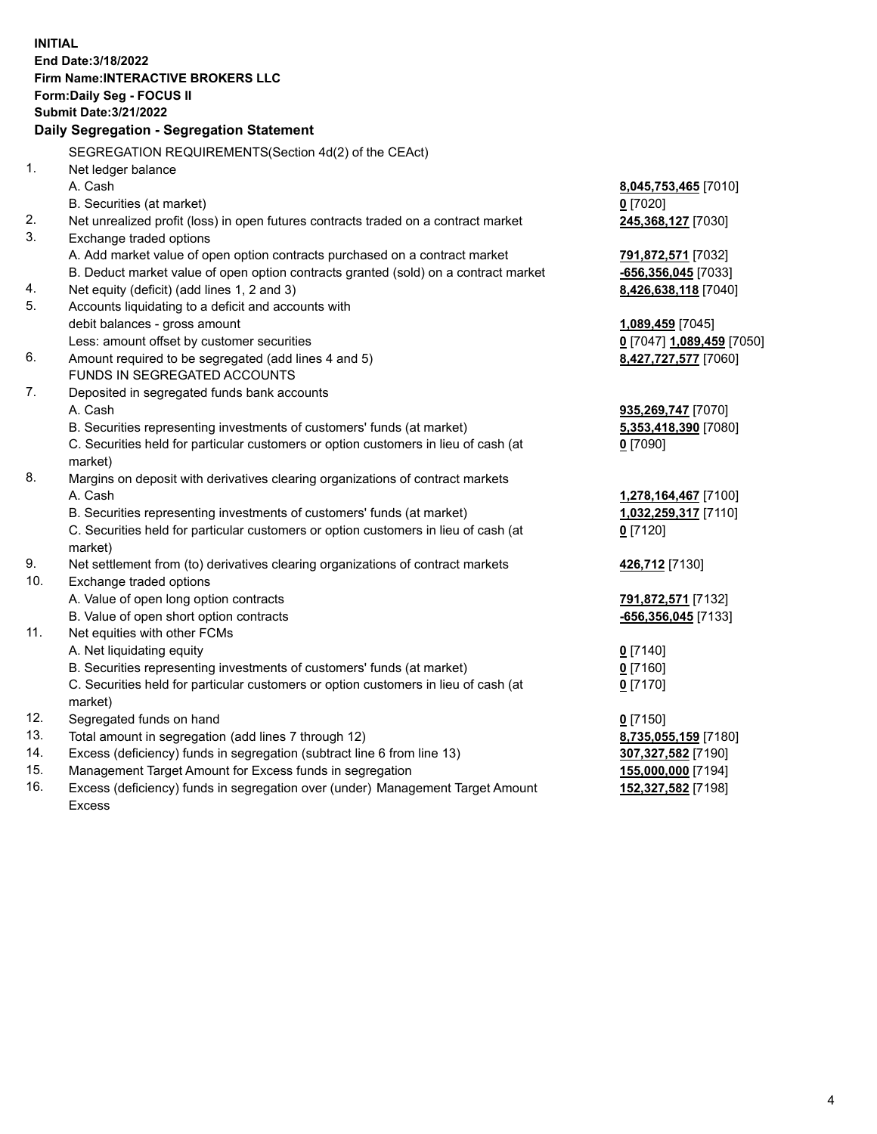**INITIAL End Date:3/18/2022 Firm Name:INTERACTIVE BROKERS LLC Form:Daily Seg - FOCUS II Submit Date:3/21/2022 Daily Segregation - Segregation Statement** SEGREGATION REQUIREMENTS(Section 4d(2) of the CEAct) 1. Net ledger balance A. Cash **8,045,753,465** [7010] B. Securities (at market) **0** [7020] 2. Net unrealized profit (loss) in open futures contracts traded on a contract market **245,368,127** [7030] 3. Exchange traded options A. Add market value of open option contracts purchased on a contract market **791,872,571** [7032] B. Deduct market value of open option contracts granted (sold) on a contract market **-656,356,045** [7033] 4. Net equity (deficit) (add lines 1, 2 and 3) **8,426,638,118** [7040] 5. Accounts liquidating to a deficit and accounts with debit balances - gross amount **1,089,459** [7045] Less: amount offset by customer securities **0** [7047] **1,089,459** [7050] 6. Amount required to be segregated (add lines 4 and 5) **8,427,727,577** [7060] FUNDS IN SEGREGATED ACCOUNTS 7. Deposited in segregated funds bank accounts A. Cash **935,269,747** [7070] B. Securities representing investments of customers' funds (at market) **5,353,418,390** [7080] C. Securities held for particular customers or option customers in lieu of cash (at market) **0** [7090] 8. Margins on deposit with derivatives clearing organizations of contract markets A. Cash **1,278,164,467** [7100] B. Securities representing investments of customers' funds (at market) **1,032,259,317** [7110] C. Securities held for particular customers or option customers in lieu of cash (at market) **0** [7120] 9. Net settlement from (to) derivatives clearing organizations of contract markets **426,712** [7130] 10. Exchange traded options A. Value of open long option contracts **791,872,571** [7132] B. Value of open short option contracts **-656,356,045** [7133] 11. Net equities with other FCMs A. Net liquidating equity **0** [7140] B. Securities representing investments of customers' funds (at market) **0** [7160] C. Securities held for particular customers or option customers in lieu of cash (at market) **0** [7170] 12. Segregated funds on hand **0** [7150] 13. Total amount in segregation (add lines 7 through 12) **8,735,055,159** [7180] 14. Excess (deficiency) funds in segregation (subtract line 6 from line 13) **307,327,582** [7190] 15. Management Target Amount for Excess funds in segregation **155,000,000** [7194] 16. Excess (deficiency) funds in segregation over (under) Management Target Amount Excess **152,327,582** [7198]